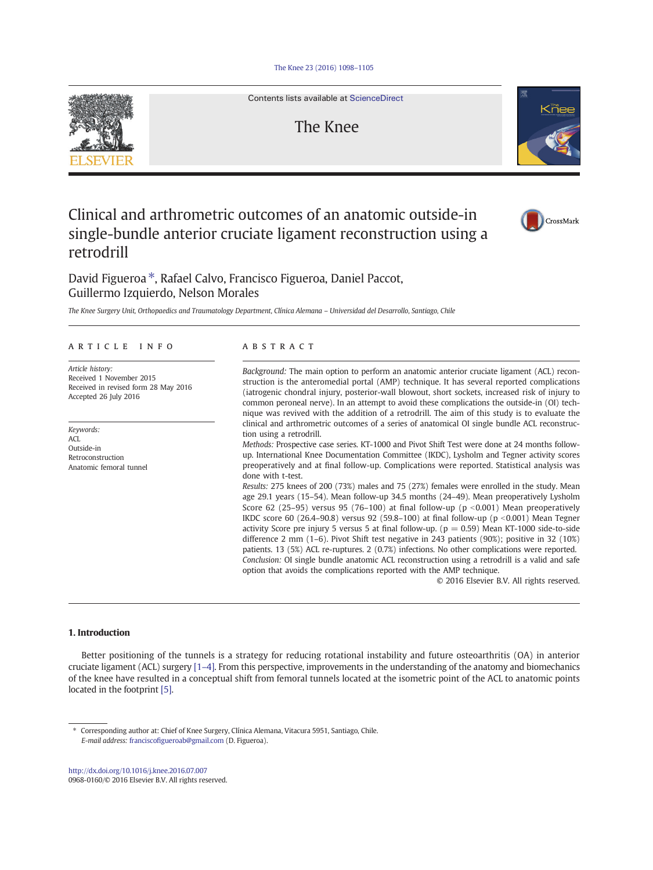#### [The Knee 23 \(2016\) 1098](http://dx.doi.org/10.1016/j.knee.2016.07.007)–1105



Contents lists available at [ScienceDirect](http://www.sciencedirect.com/science/journal/09680160)

The Knee



# Clinical and arthrometric outcomes of an anatomic outside-in single-bundle anterior cruciate ligament reconstruction using a retrodrill



David Figueroa<sup>\*</sup>, Rafael Calvo, Francisco Figueroa, Daniel Paccot, Guillermo Izquierdo, Nelson Morales

The Knee Surgery Unit, Orthopaedics and Traumatology Department, Clínica Alemana – Universidad del Desarrollo, Santiago, Chile

#### article info abstract

Article history: Received 1 November 2015 Received in revised form 28 May 2016 Accepted 26 July 2016

Keywords: ACL. Outside-in Retroconstruction Anatomic femoral tunnel

Background: The main option to perform an anatomic anterior cruciate ligament (ACL) reconstruction is the anteromedial portal (AMP) technique. It has several reported complications (iatrogenic chondral injury, posterior-wall blowout, short sockets, increased risk of injury to common peroneal nerve). In an attempt to avoid these complications the outside-in (OI) technique was revived with the addition of a retrodrill. The aim of this study is to evaluate the clinical and arthrometric outcomes of a series of anatomical OI single bundle ACL reconstruction using a retrodrill.

Methods: Prospective case series. KT-1000 and Pivot Shift Test were done at 24 months followup. International Knee Documentation Committee (IKDC), Lysholm and Tegner activity scores preoperatively and at final follow-up. Complications were reported. Statistical analysis was done with t-test.

Results: 275 knees of 200 (73%) males and 75 (27%) females were enrolled in the study. Mean age 29.1 years (15–54). Mean follow-up 34.5 months (24–49). Mean preoperatively Lysholm Score 62 (25–95) versus 95 (76–100) at final follow-up ( $p < 0.001$ ) Mean preoperatively IKDC score 60 (26.4–90.8) versus 92 (59.8–100) at final follow-up (p <0.001) Mean Tegner activity Score pre injury 5 versus 5 at final follow-up. ( $p = 0.59$ ) Mean KT-1000 side-to-side difference 2 mm (1–6). Pivot Shift test negative in 243 patients (90%); positive in 32 (10%) patients. 13 (5%) ACL re-ruptures. 2 (0.7%) infections. No other complications were reported. Conclusion: OI single bundle anatomic ACL reconstruction using a retrodrill is a valid and safe option that avoids the complications reported with the AMP technique.

© 2016 Elsevier B.V. All rights reserved.

# 1. Introduction

Better positioning of the tunnels is a strategy for reducing rotational instability and future osteoarthritis (OA) in anterior cruciate ligament (ACL) surgery [1–4]. From this perspective, improvements in the understanding of the anatomy and biomechanics of the knee have resulted in a conceptual shift from femoral tunnels located at the isometric point of the ACL to anatomic points located in the footprint [5].

<sup>⁎</sup> Corresponding author at: Chief of Knee Surgery, Clínica Alemana, Vitacura 5951, Santiago, Chile. E-mail address: franciscofi[gueroab@gmail.com](mailto:franciscofigueroab@gmail.com) (D. Figueroa).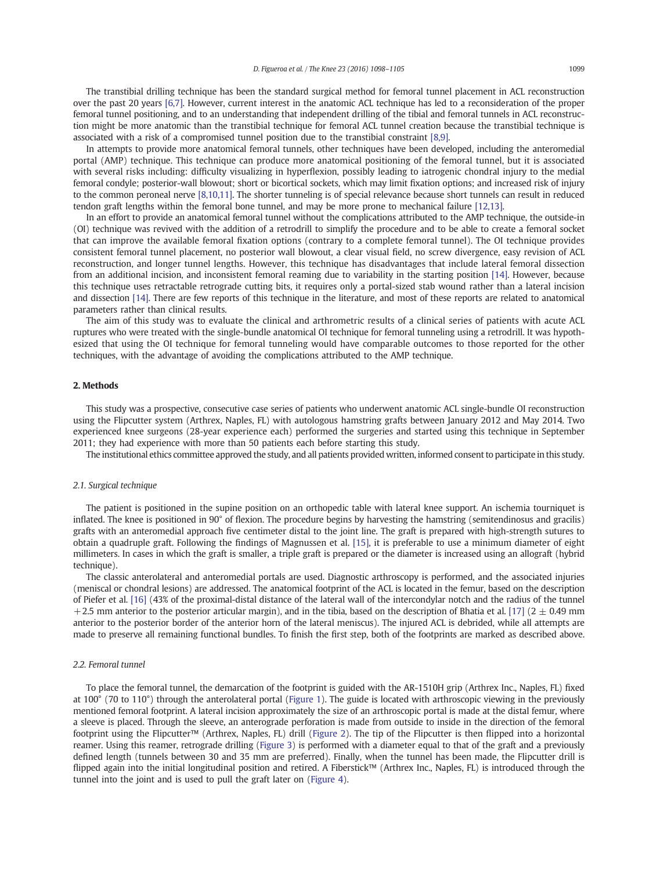The transtibial drilling technique has been the standard surgical method for femoral tunnel placement in ACL reconstruction over the past 20 years [6,7]. However, current interest in the anatomic ACL technique has led to a reconsideration of the proper femoral tunnel positioning, and to an understanding that independent drilling of the tibial and femoral tunnels in ACL reconstruction might be more anatomic than the transtibial technique for femoral ACL tunnel creation because the transtibial technique is associated with a risk of a compromised tunnel position due to the transtibial constraint [8,9].

In attempts to provide more anatomical femoral tunnels, other techniques have been developed, including the anteromedial portal (AMP) technique. This technique can produce more anatomical positioning of the femoral tunnel, but it is associated with several risks including: difficulty visualizing in hyperflexion, possibly leading to iatrogenic chondral injury to the medial femoral condyle; posterior-wall blowout; short or bicortical sockets, which may limit fixation options; and increased risk of injury to the common peroneal nerve [8,10,11]. The shorter tunneling is of special relevance because short tunnels can result in reduced tendon graft lengths within the femoral bone tunnel, and may be more prone to mechanical failure [12,13].

In an effort to provide an anatomical femoral tunnel without the complications attributed to the AMP technique, the outside-in (OI) technique was revived with the addition of a retrodrill to simplify the procedure and to be able to create a femoral socket that can improve the available femoral fixation options (contrary to a complete femoral tunnel). The OI technique provides consistent femoral tunnel placement, no posterior wall blowout, a clear visual field, no screw divergence, easy revision of ACL reconstruction, and longer tunnel lengths. However, this technique has disadvantages that include lateral femoral dissection from an additional incision, and inconsistent femoral reaming due to variability in the starting position [14]. However, because this technique uses retractable retrograde cutting bits, it requires only a portal-sized stab wound rather than a lateral incision and dissection [14]. There are few reports of this technique in the literature, and most of these reports are related to anatomical parameters rather than clinical results.

The aim of this study was to evaluate the clinical and arthrometric results of a clinical series of patients with acute ACL ruptures who were treated with the single-bundle anatomical OI technique for femoral tunneling using a retrodrill. It was hypothesized that using the OI technique for femoral tunneling would have comparable outcomes to those reported for the other techniques, with the advantage of avoiding the complications attributed to the AMP technique.

# 2. Methods

This study was a prospective, consecutive case series of patients who underwent anatomic ACL single-bundle OI reconstruction using the Flipcutter system (Arthrex, Naples, FL) with autologous hamstring grafts between January 2012 and May 2014. Two experienced knee surgeons (28-year experience each) performed the surgeries and started using this technique in September 2011; they had experience with more than 50 patients each before starting this study.

The institutional ethics committee approved the study, and all patients provided written, informed consent to participate in this study.

# 2.1. Surgical technique

The patient is positioned in the supine position on an orthopedic table with lateral knee support. An ischemia tourniquet is inflated. The knee is positioned in 90° of flexion. The procedure begins by harvesting the hamstring (semitendinosus and gracilis) grafts with an anteromedial approach five centimeter distal to the joint line. The graft is prepared with high-strength sutures to obtain a quadruple graft. Following the findings of Magnussen et al. [15], it is preferable to use a minimum diameter of eight millimeters. In cases in which the graft is smaller, a triple graft is prepared or the diameter is increased using an allograft (hybrid technique).

The classic anterolateral and anteromedial portals are used. Diagnostic arthroscopy is performed, and the associated injuries (meniscal or chondral lesions) are addressed. The anatomical footprint of the ACL is located in the femur, based on the description of Piefer et al. [16] (43% of the proximal-distal distance of the lateral wall of the intercondylar notch and the radius of the tunnel +2.5 mm anterior to the posterior articular margin), and in the tibia, based on the description of Bhatia et al. [17] ( $2 \pm 0.49$  mm anterior to the posterior border of the anterior horn of the lateral meniscus). The injured ACL is debrided, while all attempts are made to preserve all remaining functional bundles. To finish the first step, both of the footprints are marked as described above.

# 2.2. Femoral tunnel

To place the femoral tunnel, the demarcation of the footprint is guided with the AR-1510H grip (Arthrex Inc., Naples, FL) fixed at 100° (70 to 110°) through the anterolateral portal (Figure 1). The guide is located with arthroscopic viewing in the previously mentioned femoral footprint. A lateral incision approximately the size of an arthroscopic portal is made at the distal femur, where a sleeve is placed. Through the sleeve, an anterograde perforation is made from outside to inside in the direction of the femoral footprint using the Flipcutter™ (Arthrex, Naples, FL) drill (Figure 2). The tip of the Flipcutter is then flipped into a horizontal reamer. Using this reamer, retrograde drilling (Figure 3) is performed with a diameter equal to that of the graft and a previously defined length (tunnels between 30 and 35 mm are preferred). Finally, when the tunnel has been made, the Flipcutter drill is flipped again into the initial longitudinal position and retired. A Fiberstick™ (Arthrex Inc., Naples, FL) is introduced through the tunnel into the joint and is used to pull the graft later on (Figure 4).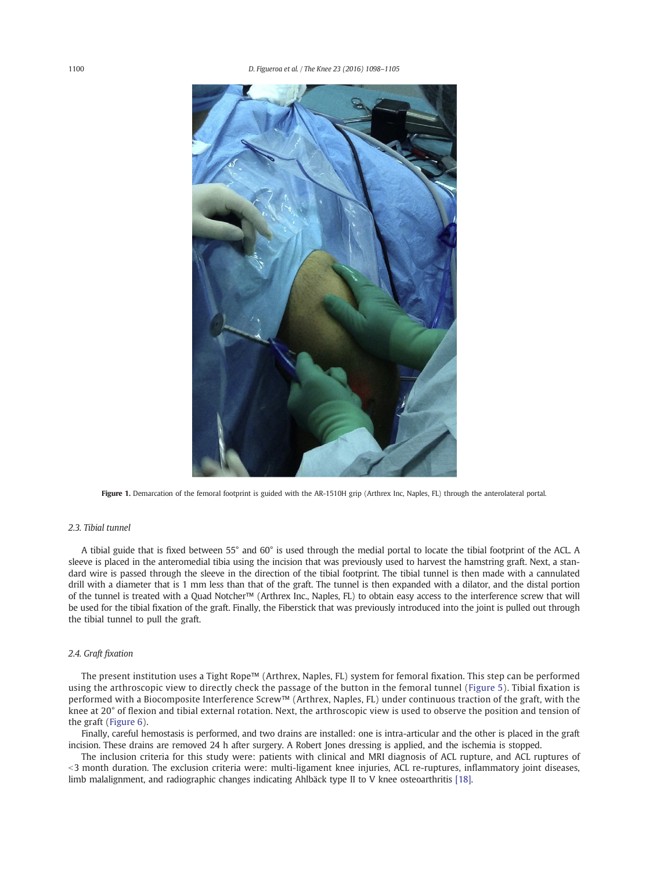1100 D. Figueroa et al. / The Knee 23 (2016) 1098–1105



Figure 1. Demarcation of the femoral footprint is guided with the AR-1510H grip (Arthrex Inc, Naples, FL) through the anterolateral portal.

# 2.3. Tibial tunnel

A tibial guide that is fixed between 55° and 60° is used through the medial portal to locate the tibial footprint of the ACL. A sleeve is placed in the anteromedial tibia using the incision that was previously used to harvest the hamstring graft. Next, a standard wire is passed through the sleeve in the direction of the tibial footprint. The tibial tunnel is then made with a cannulated drill with a diameter that is 1 mm less than that of the graft. The tunnel is then expanded with a dilator, and the distal portion of the tunnel is treated with a Quad Notcher™ (Arthrex Inc., Naples, FL) to obtain easy access to the interference screw that will be used for the tibial fixation of the graft. Finally, the Fiberstick that was previously introduced into the joint is pulled out through the tibial tunnel to pull the graft.

# 2.4. Graft fixation

The present institution uses a Tight Rope™ (Arthrex, Naples, FL) system for femoral fixation. This step can be performed using the arthroscopic view to directly check the passage of the button in the femoral tunnel (Figure 5). Tibial fixation is performed with a Biocomposite Interference Screw™ (Arthrex, Naples, FL) under continuous traction of the graft, with the knee at 20° of flexion and tibial external rotation. Next, the arthroscopic view is used to observe the position and tension of the graft (Figure 6).

Finally, careful hemostasis is performed, and two drains are installed: one is intra-articular and the other is placed in the graft incision. These drains are removed 24 h after surgery. A Robert Jones dressing is applied, and the ischemia is stopped.

The inclusion criteria for this study were: patients with clinical and MRI diagnosis of ACL rupture, and ACL ruptures of  $<$ 3 month duration. The exclusion criteria were: multi-ligament knee injuries, ACL re-ruptures, inflammatory joint diseases, limb malalignment, and radiographic changes indicating Ahlbäck type II to V knee osteoarthritis [18].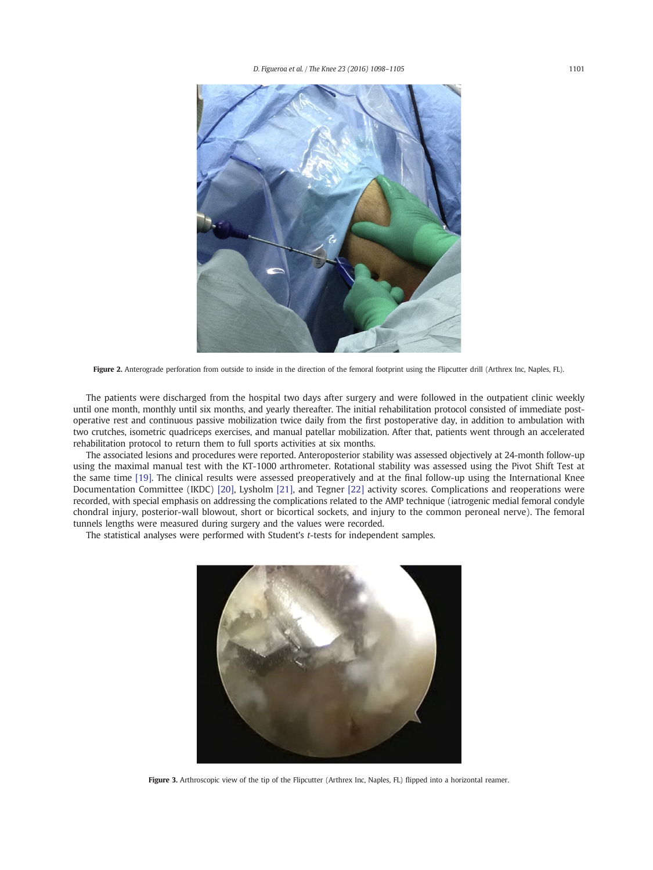

Figure 2. Anterograde perforation from outside to inside in the direction of the femoral footprint using the Flipcutter drill (Arthrex Inc, Naples, FL).

The patients were discharged from the hospital two days after surgery and were followed in the outpatient clinic weekly until one month, monthly until six months, and yearly thereafter. The initial rehabilitation protocol consisted of immediate postoperative rest and continuous passive mobilization twice daily from the first postoperative day, in addition to ambulation with two crutches, isometric quadriceps exercises, and manual patellar mobilization. After that, patients went through an accelerated rehabilitation protocol to return them to full sports activities at six months.

The associated lesions and procedures were reported. Anteroposterior stability was assessed objectively at 24-month follow-up using the maximal manual test with the KT-1000 arthrometer. Rotational stability was assessed using the Pivot Shift Test at the same time [19]. The clinical results were assessed preoperatively and at the final follow-up using the International Knee Documentation Committee (IKDC) [20], Lysholm [21], and Tegner [22] activity scores. Complications and reoperations were recorded, with special emphasis on addressing the complications related to the AMP technique (iatrogenic medial femoral condyle chondral injury, posterior-wall blowout, short or bicortical sockets, and injury to the common peroneal nerve). The femoral tunnels lengths were measured during surgery and the values were recorded.

The statistical analyses were performed with Student's t-tests for independent samples.



Figure 3. Arthroscopic view of the tip of the Flipcutter (Arthrex Inc, Naples, FL) flipped into a horizontal reamer.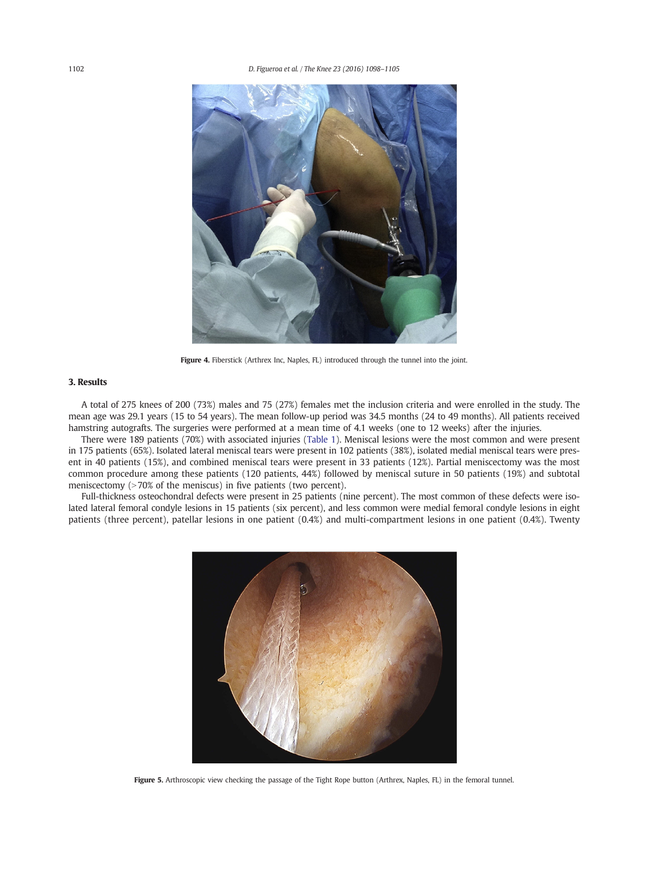

Figure 4. Fiberstick (Arthrex Inc, Naples, FL) introduced through the tunnel into the joint.

# 3. Results

A total of 275 knees of 200 (73%) males and 75 (27%) females met the inclusion criteria and were enrolled in the study. The mean age was 29.1 years (15 to 54 years). The mean follow-up period was 34.5 months (24 to 49 months). All patients received hamstring autografts. The surgeries were performed at a mean time of 4.1 weeks (one to 12 weeks) after the injuries.

There were 189 patients (70%) with associated injuries (Table 1). Meniscal lesions were the most common and were present in 175 patients (65%). Isolated lateral meniscal tears were present in 102 patients (38%), isolated medial meniscal tears were present in 40 patients (15%), and combined meniscal tears were present in 33 patients (12%). Partial meniscectomy was the most common procedure among these patients (120 patients, 44%) followed by meniscal suture in 50 patients (19%) and subtotal meniscectomy  $($  > 70% of the meniscus) in five patients (two percent).

Full-thickness osteochondral defects were present in 25 patients (nine percent). The most common of these defects were isolated lateral femoral condyle lesions in 15 patients (six percent), and less common were medial femoral condyle lesions in eight patients (three percent), patellar lesions in one patient (0.4%) and multi-compartment lesions in one patient (0.4%). Twenty



Figure 5. Arthroscopic view checking the passage of the Tight Rope button (Arthrex, Naples, FL) in the femoral tunnel.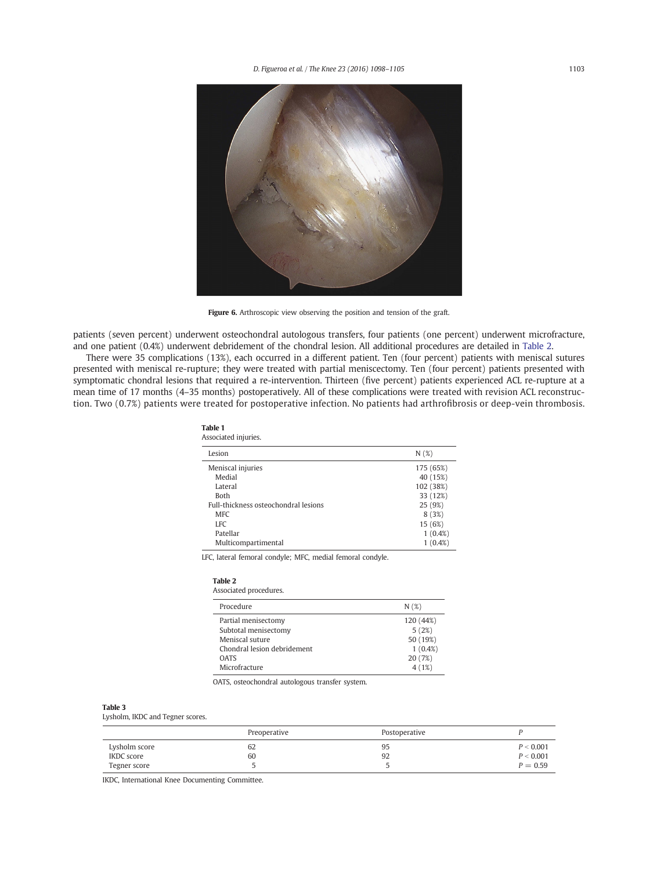

Figure 6. Arthroscopic view observing the position and tension of the graft.

patients (seven percent) underwent osteochondral autologous transfers, four patients (one percent) underwent microfracture, and one patient (0.4%) underwent debridement of the chondral lesion. All additional procedures are detailed in Table 2.

There were 35 complications (13%), each occurred in a different patient. Ten (four percent) patients with meniscal sutures presented with meniscal re-rupture; they were treated with partial meniscectomy. Ten (four percent) patients presented with symptomatic chondral lesions that required a re-intervention. Thirteen (five percent) patients experienced ACL re-rupture at a mean time of 17 months (4–35 months) postoperatively. All of these complications were treated with revision ACL reconstruction. Two (0.7%) patients were treated for postoperative infection. No patients had arthrofibrosis or deep-vein thrombosis.

# Table 1

| Associated injuries. |  |
|----------------------|--|
|                      |  |

| Lesion                                      | N(%)       |
|---------------------------------------------|------------|
| Meniscal injuries                           | 175 (65%)  |
| Medial                                      | 40 (15%)   |
| Lateral                                     | 102 (38%)  |
| <b>Both</b>                                 | 33 (12%)   |
| <b>Full-thickness osteochondral lesions</b> | 25 (9%)    |
| <b>MFC</b>                                  | 8(3%)      |
| LFC.                                        | 15 (6%)    |
| Patellar                                    | $1(0.4\%)$ |
| Multicompartimental                         | $1(0.4\%)$ |

LFC, lateral femoral condyle; MFC, medial femoral condyle.

# Table 2 Associated procedures. Procedure N (%) Partial menisectomy 120 (44%)<br>Subtotal menisectomy 5 (2%) Subtotal menisectomy  $5 (2\%)$ <br>Meniscal suture  $50 (19\%)$ Meniscal suture Chondral lesion debridement 1 (0.4%)<br>
OATS 20 (7%)

Microfracture 4 (1%)

OATS, osteochondral autologous transfer system.

#### Table 3

Lysholm, IKDC and Tegner scores.

|               | Preoperative | Postoperative |            |
|---------------|--------------|---------------|------------|
| Lysholm score | 62           | 95            | P < 0.001  |
| IKDC score    | 60           | 92            | P < 0.001  |
| Tegner score  |              |               | $P = 0.59$ |

 $20(7%)$ 

IKDC, International Knee Documenting Committee.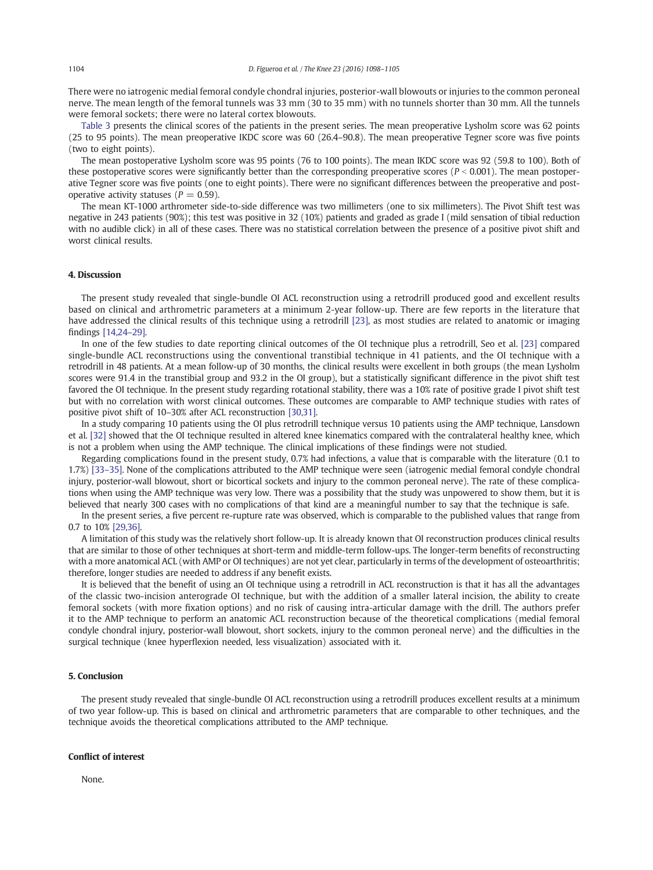There were no iatrogenic medial femoral condyle chondral injuries, posterior-wall blowouts or injuries to the common peroneal nerve. The mean length of the femoral tunnels was 33 mm (30 to 35 mm) with no tunnels shorter than 30 mm. All the tunnels were femoral sockets; there were no lateral cortex blowouts.

Table 3 presents the clinical scores of the patients in the present series. The mean preoperative Lysholm score was 62 points (25 to 95 points). The mean preoperative IKDC score was 60 (26.4–90.8). The mean preoperative Tegner score was five points (two to eight points).

The mean postoperative Lysholm score was 95 points (76 to 100 points). The mean IKDC score was 92 (59.8 to 100). Both of these postoperative scores were significantly better than the corresponding preoperative scores ( $P < 0.001$ ). The mean postoperative Tegner score was five points (one to eight points). There were no significant differences between the preoperative and postoperative activity statuses  $(P = 0.59)$ .

The mean KT-1000 arthrometer side-to-side difference was two millimeters (one to six millimeters). The Pivot Shift test was negative in 243 patients (90%); this test was positive in 32 (10%) patients and graded as grade I (mild sensation of tibial reduction with no audible click) in all of these cases. There was no statistical correlation between the presence of a positive pivot shift and worst clinical results.

# 4. Discussion

The present study revealed that single-bundle OI ACL reconstruction using a retrodrill produced good and excellent results based on clinical and arthrometric parameters at a minimum 2-year follow-up. There are few reports in the literature that have addressed the clinical results of this technique using a retrodrill [23], as most studies are related to anatomic or imaging findings [14,24–29].

In one of the few studies to date reporting clinical outcomes of the OI technique plus a retrodrill, Seo et al. [23] compared single-bundle ACL reconstructions using the conventional transtibial technique in 41 patients, and the OI technique with a retrodrill in 48 patients. At a mean follow-up of 30 months, the clinical results were excellent in both groups (the mean Lysholm scores were 91.4 in the transtibial group and 93.2 in the OI group), but a statistically significant difference in the pivot shift test favored the OI technique. In the present study regarding rotational stability, there was a 10% rate of positive grade I pivot shift test but with no correlation with worst clinical outcomes. These outcomes are comparable to AMP technique studies with rates of positive pivot shift of 10–30% after ACL reconstruction [30,31].

In a study comparing 10 patients using the OI plus retrodrill technique versus 10 patients using the AMP technique, Lansdown et al. [32] showed that the OI technique resulted in altered knee kinematics compared with the contralateral healthy knee, which is not a problem when using the AMP technique. The clinical implications of these findings were not studied.

Regarding complications found in the present study, 0.7% had infections, a value that is comparable with the literature (0.1 to 1.7%) [33–35]. None of the complications attributed to the AMP technique were seen (iatrogenic medial femoral condyle chondral injury, posterior-wall blowout, short or bicortical sockets and injury to the common peroneal nerve). The rate of these complications when using the AMP technique was very low. There was a possibility that the study was unpowered to show them, but it is believed that nearly 300 cases with no complications of that kind are a meaningful number to say that the technique is safe.

In the present series, a five percent re-rupture rate was observed, which is comparable to the published values that range from 0.7 to 10% [29,36].

A limitation of this study was the relatively short follow-up. It is already known that OI reconstruction produces clinical results that are similar to those of other techniques at short-term and middle-term follow-ups. The longer-term benefits of reconstructing with a more anatomical ACL (with AMP or OI techniques) are not yet clear, particularly in terms of the development of osteoarthritis; therefore, longer studies are needed to address if any benefit exists.

It is believed that the benefit of using an OI technique using a retrodrill in ACL reconstruction is that it has all the advantages of the classic two-incision anterograde OI technique, but with the addition of a smaller lateral incision, the ability to create femoral sockets (with more fixation options) and no risk of causing intra-articular damage with the drill. The authors prefer it to the AMP technique to perform an anatomic ACL reconstruction because of the theoretical complications (medial femoral condyle chondral injury, posterior-wall blowout, short sockets, injury to the common peroneal nerve) and the difficulties in the surgical technique (knee hyperflexion needed, less visualization) associated with it.

# 5. Conclusion

The present study revealed that single-bundle OI ACL reconstruction using a retrodrill produces excellent results at a minimum of two year follow-up. This is based on clinical and arthrometric parameters that are comparable to other techniques, and the technique avoids the theoretical complications attributed to the AMP technique.

#### Conflict of interest

None.